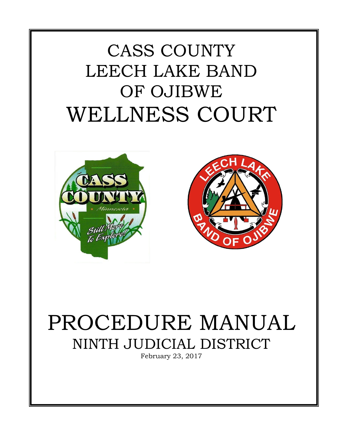# CASS COUNTY LEECH LAKE BAND OF OJIBWE WELLNESS COURT





# PROCEDURE MANUAL NINTH JUDICIAL DISTRICT

February 23, 2017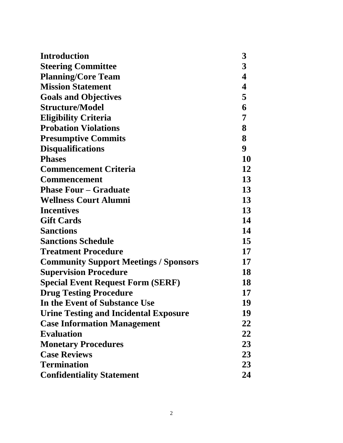| <b>Introduction</b>                          | 3                       |
|----------------------------------------------|-------------------------|
| <b>Steering Committee</b>                    | $\mathbf{3}$            |
| <b>Planning/Core Team</b>                    | $\overline{\mathbf{4}}$ |
| <b>Mission Statement</b>                     | $\overline{\mathbf{4}}$ |
| <b>Goals and Objectives</b>                  | 5                       |
| <b>Structure/Model</b>                       | 6                       |
| <b>Eligibility Criteria</b>                  | 7                       |
| <b>Probation Violations</b>                  | 8                       |
| <b>Presumptive Commits</b>                   | 8                       |
| <b>Disqualifications</b>                     | 9                       |
| <b>Phases</b>                                | 10                      |
| <b>Commencement Criteria</b>                 | 12                      |
| <b>Commencement</b>                          | 13                      |
| <b>Phase Four - Graduate</b>                 | 13                      |
| <b>Wellness Court Alumni</b>                 | 13                      |
| <b>Incentives</b>                            | 13                      |
| <b>Gift Cards</b>                            | 14                      |
| <b>Sanctions</b>                             | 14                      |
| <b>Sanctions Schedule</b>                    | 15                      |
| <b>Treatment Procedure</b>                   | 17                      |
| <b>Community Support Meetings / Sponsors</b> | 17                      |
| <b>Supervision Procedure</b>                 | 18                      |
| <b>Special Event Request Form (SERF)</b>     | 18                      |
| <b>Drug Testing Procedure</b>                | 17                      |
| In the Event of Substance Use                | 19                      |
| <b>Urine Testing and Incidental Exposure</b> | 19                      |
| <b>Case Information Management</b>           | 22                      |
| <b>Evaluation</b>                            | 22                      |
| <b>Monetary Procedures</b>                   | 23                      |
| <b>Case Reviews</b>                          | 23                      |
| <b>Termination</b>                           | 23                      |
| <b>Confidentiality Statement</b>             | 24                      |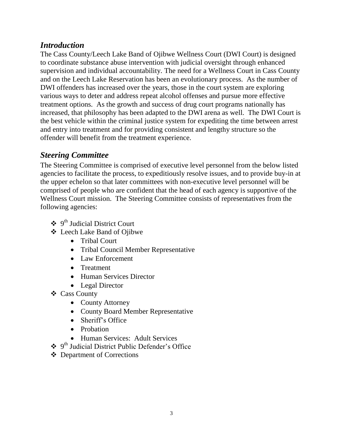## *Introduction*

The Cass County/Leech Lake Band of Ojibwe Wellness Court (DWI Court) is designed to coordinate substance abuse intervention with judicial oversight through enhanced supervision and individual accountability. The need for a Wellness Court in Cass County and on the Leech Lake Reservation has been an evolutionary process. As the number of DWI offenders has increased over the years, those in the court system are exploring various ways to deter and address repeat alcohol offenses and pursue more effective treatment options. As the growth and success of drug court programs nationally has increased, that philosophy has been adapted to the DWI arena as well. The DWI Court is the best vehicle within the criminal justice system for expediting the time between arrest and entry into treatment and for providing consistent and lengthy structure so the offender will benefit from the treatment experience.

# *Steering Committee*

The Steering Committee is comprised of executive level personnel from the below listed agencies to facilitate the process, to expeditiously resolve issues, and to provide buy-in at the upper echelon so that later committees with non-executive level personnel will be comprised of people who are confident that the head of each agency is supportive of the Wellness Court mission. The Steering Committee consists of representatives from the following agencies:

- 9 th Judicial District Court
- Leech Lake Band of Ojibwe
	- Tribal Court
	- Tribal Council Member Representative
	- Law Enforcement
	- Treatment
	- Human Services Director
	- Legal Director
- Cass County
	- County Attorney
	- County Board Member Representative
	- Sheriff's Office
	- Probation
	- Human Services: Adult Services
- 9 th Judicial District Public Defender's Office
- Department of Corrections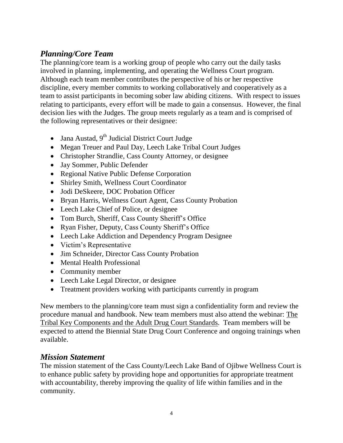# *Planning/Core Team*

The planning/core team is a working group of people who carry out the daily tasks involved in planning, implementing, and operating the Wellness Court program. Although each team member contributes the perspective of his or her respective discipline, every member commits to working collaboratively and cooperatively as a team to assist participants in becoming sober law abiding citizens. With respect to issues relating to participants, every effort will be made to gain a consensus. However, the final decision lies with the Judges. The group meets regularly as a team and is comprised of the following representatives or their designee:

- Jana Austad,  $9<sup>th</sup>$  Judicial District Court Judge
- Megan Treuer and Paul Day, Leech Lake Tribal Court Judges
- Christopher Strandlie, Cass County Attorney, or designee
- Jay Sommer, Public Defender
- Regional Native Public Defense Corporation
- Shirley Smith, Wellness Court Coordinator
- Jodi DeSkeere, DOC Probation Officer
- Bryan Harris, Wellness Court Agent, Cass County Probation
- Leech Lake Chief of Police, or designee
- Tom Burch, Sheriff, Cass County Sheriff's Office
- Ryan Fisher, Deputy, Cass County Sheriff's Office
- Leech Lake Addiction and Dependency Program Designee
- Victim's Representative
- Jim Schneider, Director Cass County Probation
- Mental Health Professional
- Community member
- Leech Lake Legal Director, or designee
- Treatment providers working with participants currently in program

New members to the planning/core team must sign a confidentiality form and review the procedure manual and handbook. New team members must also attend the webinar: The Tribal Key Components and the Adult Drug Court Standards. Team members will be expected to attend the Biennial State Drug Court Conference and ongoing trainings when available.

## *Mission Statement*

The mission statement of the Cass County/Leech Lake Band of Ojibwe Wellness Court is to enhance public safety by providing hope and opportunities for appropriate treatment with accountability, thereby improving the quality of life within families and in the community.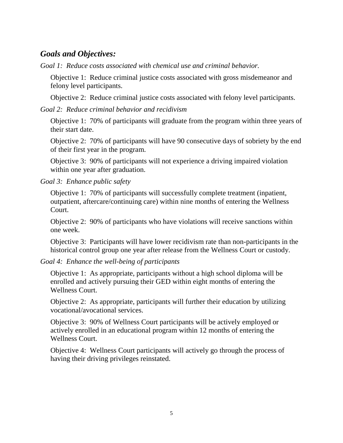## *Goals and Objectives:*

*Goal 1: Reduce costs associated with chemical use and criminal behavior.*

Objective 1: Reduce criminal justice costs associated with gross misdemeanor and felony level participants.

Objective 2: Reduce criminal justice costs associated with felony level participants.

*Goal 2: Reduce criminal behavior and recidivism*

Objective 1: 70% of participants will graduate from the program within three years of their start date.

Objective 2: 70% of participants will have 90 consecutive days of sobriety by the end of their first year in the program.

Objective 3: 90% of participants will not experience a driving impaired violation within one year after graduation.

*Goal 3: Enhance public safety*

Objective 1: 70% of participants will successfully complete treatment (inpatient, outpatient, aftercare/continuing care) within nine months of entering the Wellness Court.

Objective 2: 90% of participants who have violations will receive sanctions within one week.

Objective 3: Participants will have lower recidivism rate than non-participants in the historical control group one year after release from the Wellness Court or custody.

*Goal 4: Enhance the well-being of participants*

Objective 1: As appropriate, participants without a high school diploma will be enrolled and actively pursuing their GED within eight months of entering the Wellness Court.

Objective 2: As appropriate, participants will further their education by utilizing vocational/avocational services.

Objective 3: 90% of Wellness Court participants will be actively employed or actively enrolled in an educational program within 12 months of entering the Wellness Court.

Objective 4: Wellness Court participants will actively go through the process of having their driving privileges reinstated.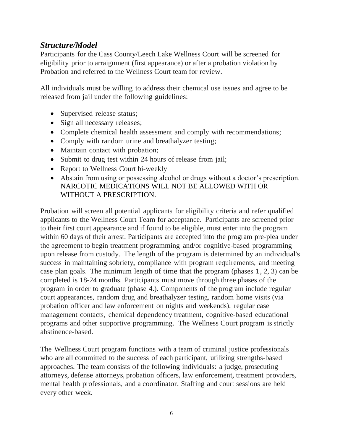# *Structure/Model*

Participants for the Cass County/Leech Lake Wellness Court will be screened for eligibility prior to arraignment (first appearance) or after a probation violation by Probation and referred to the Wellness Court team for review.

All individuals must be willing to address their chemical use issues and agree to be released from jail under the following guidelines:

- Supervised release status;
- Sign all necessary releases;
- Complete chemical health assessment and comply with recommendations;
- Comply with random urine and breathalyzer testing;
- Maintain contact with probation;
- Submit to drug test within 24 hours of release from jail;
- Report to Wellness Court bi-weekly
- Abstain from using or possessing alcohol or drugs without a doctor's prescription. NARCOTIC MEDICATIONS WILL NOT BE ALLOWED WITH OR WITHOUT A PRESCRIPTION.

Probation will screen all potential applicants for eligibility criteria and refer qualified applicants to the Wellness Court Team for acceptance. Participants are screened prior to their first court appearance and if found to be eligible, must enter into the program within 60 days of their arrest. Participants are accepted into the program pre-plea under the agreement to begin treatment programming and/or cognitive-based programming upon release from custody. The length of the program is determined by an individual's success in maintaining sobriety, compliance with program requirements, and meeting case plan goals. The minimum length of time that the program (phases 1, 2, 3) can be completed is 18-24 months. Participants must move through three phases of the program in order to graduate (phase 4.). Components of the program include regular court appearances, random drug and breathalyzer testing, random home visits (via probation officer and law enforcement on nights and weekends), regular case management contacts, chemical dependency treatment, cognitive-based educational programs and other supportive programming. The Wellness Court program is strictly abstinence-based.

The Wellness Court program functions with a team of criminal justice professionals who are all committed to the success of each participant, utilizing strengths-based approaches. The team consists of the following individuals: a judge, prosecuting attorneys, defense attorneys, probation officers, law enforcement, treatment providers, mental health professionals, and a coordinator. Staffing and court sessions are held every other week.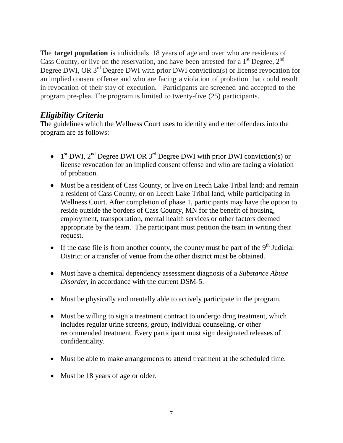The **target population** is individuals 18 years of age and over who are residents of Cass County, or live on the reservation, and have been arrested for a  $1<sup>st</sup>$  Degree,  $2<sup>nd</sup>$ Degree DWI, OR  $3<sup>rd</sup>$  Degree DWI with prior DWI conviction(s) or license revocation for an implied consent offense and who are facing a violation of probation that could result in revocation of their stay of execution. Participants are screened and accepted to the program pre-plea. The program is limited to twenty-five (25) participants.

## *Eligibility Criteria*

The guidelines which the Wellness Court uses to identify and enter offenders into the program are as follows:

- $\bullet$  1<sup>st</sup> DWI, 2<sup>nd</sup> Degree DWI OR 3<sup>rd</sup> Degree DWI with prior DWI conviction(s) or license revocation for an implied consent offense and who are facing a violation of probation.
- Must be a resident of Cass County, or live on Leech Lake Tribal land; and remain a resident of Cass County, or on Leech Lake Tribal land, while participating in Wellness Court. After completion of phase 1, participants may have the option to reside outside the borders of Cass County, MN for the benefit of housing, employment, transportation, mental health services or other factors deemed appropriate by the team. The participant must petition the team in writing their request.
- If the case file is from another county, the county must be part of the  $9<sup>th</sup>$  Judicial District or a transfer of venue from the other district must be obtained.
- Must have a chemical dependency assessment diagnosis of a *Substance Abuse Disorder,* in accordance with the current DSM-5.
- Must be physically and mentally able to actively participate in the program.
- Must be willing to sign a treatment contract to undergo drug treatment, which includes regular urine screens, group, individual counseling, or other recommended treatment. Every participant must sign designated releases of confidentiality.
- Must be able to make arrangements to attend treatment at the scheduled time.
- Must be 18 years of age or older.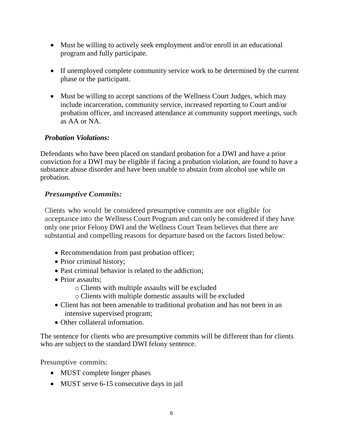- Must be willing to actively seek employment and/or enroll in an educational program and fully participate.
- If unemployed complete community service work to be determined by the current phase or the participant.
- Must be willing to accept sanctions of the Wellness Court Judges, which may include incarceration, community service, increased reporting to Court and/or probation officer, and increased attendance at community support meetings, such as AA or NA.

## *Probation Violations:*

Defendants who have been placed on standard probation for a DWI and have a prior conviction for a DWI may be eligible if facing a probation violation, are found to have a substance abuse disorder and have been unable to abstain from alcohol use while on probation.

## *Presumptive Commits:*

Clients who would be considered presumptive commits are not eligible for acceptance into the Wellness Court Program and can only be considered if they have only one prior Felony DWI and the Wellness Court Team believes that there are substantial and compelling reasons for departure based on the factors listed below:

- Recommendation from past probation officer;
- Prior criminal history;
- Past criminal behavior is related to the addiction;
- Prior assaults:
	- o Clients with multiple assaults will be excluded
	- o Clients with multiple domestic assaults will be excluded
- Client has not been amenable to traditional probation and has not been in an intensive supervised program;
- Other collateral information.

The sentence for clients who are presumptive commits will be different than for clients who are subject to the standard DWI felony sentence.

Presumptive commits:

- MUST complete longer phases
- MUST serve 6-15 consecutive days in jail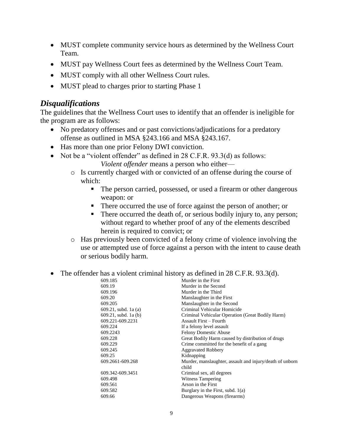- MUST complete community service hours as determined by the Wellness Court Team.
- MUST pay Wellness Court fees as determined by the Wellness Court Team.
- MUST comply with all other Wellness Court rules.
- MUST plead to charges prior to starting Phase 1

### *Disqualifications*

The guidelines that the Wellness Court uses to identify that an offender is ineligible for the program are as follows:

- No predatory offenses and or past convictions/adjudications for a predatory offense as outlined in MSA §243.166 and MSA §243.167.
- Has more than one prior Felony DWI conviction.
- Not be a "violent offender" as defined in 28 C.F.R. 93.3(d) as follows: *Violent offender* means a person who either
	- o Is currently charged with or convicted of an offense during the course of which:
		- The person carried, possessed, or used a firearm or other dangerous weapon: or
		- There occurred the use of force against the person of another; or
		- There occurred the death of, or serious bodily injury to, any person; without regard to whether proof of any of the elements described herein is required to convict; or
	- o Has previously been convicted of a felony crime of violence involving the use or attempted use of force against a person with the intent to cause death or serious bodily harm.
- The offender has a violent criminal history as defined in 28 C.F.R. 93.3(d).

| 609.185                 | Murder in the First                                      |
|-------------------------|----------------------------------------------------------|
| 609.19                  | Murder in the Second                                     |
| 609.196                 | Murder in the Third                                      |
| 609.20                  | Manslaughter in the First                                |
| 609.205                 | Manslaughter in the Second                               |
| $609.21$ , subd. 1a (a) | Criminal Vehicular Homicide                              |
| $609.21$ , subd. 1a (b) | Criminal Vehicular Operation (Great Bodily Harm)         |
| 609.221-609.2231        | Assault First – Fourth                                   |
| 609.224                 | If a felony level assault                                |
| 609.2243                | <b>Felony Domestic Abuse</b>                             |
| 609.228                 | Great Bodily Harm caused by distribution of drugs        |
| 609.229                 | Crime committed for the benefit of a gang                |
| 609.245                 | <b>Aggravated Robbery</b>                                |
| 609.25                  | Kidnapping                                               |
| 609.2661-609.268        | Murder, manslaughter, assault and injury/death of unborn |
|                         | child                                                    |
| 609.342-609.3451        | Criminal sex, all degrees                                |
| 609.498                 | Witness Tampering                                        |
| 609.561                 | Arson in the First                                       |
| 609.582                 | Burglary in the First, subd. $1(a)$                      |
| 609.66                  | Dangerous Weapons (firearms)                             |
|                         |                                                          |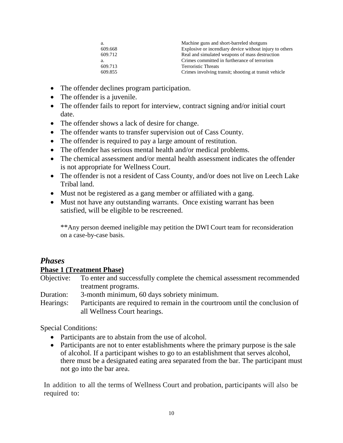| а.      | Machine guns and short-barreled shotguns                |
|---------|---------------------------------------------------------|
| 609.668 | Explosive or incendiary device without injury to others |
| 609.712 | Real and simulated weapons of mass destruction          |
| a.      | Crimes committed in furtherance of terrorism            |
| 609.713 | <b>Terroristic Threats</b>                              |
| 609.855 | Crimes involving transit; shooting at transit vehicle   |

- The offender declines program participation.
- The offender is a juvenile.
- The offender fails to report for interview, contract signing and/or initial court date.
- The offender shows a lack of desire for change.
- The offender wants to transfer supervision out of Cass County.
- The offender is required to pay a large amount of restitution.
- The offender has serious mental health and/or medical problems.
- The chemical assessment and/or mental health assessment indicates the offender is not appropriate for Wellness Court.
- The offender is not a resident of Cass County, and/or does not live on Leech Lake Tribal land.
- Must not be registered as a gang member or affiliated with a gang.
- Must not have any outstanding warrants. Once existing warrant has been satisfied, will be eligible to be rescreened.

\*\*Any person deemed ineligible may petition the DWI Court team for reconsideration on a case-by-case basis.

## *Phases* **Phase 1 (Treatment Phase)**

Objective: To enter and successfully complete the chemical assessment recommended treatment programs.

Duration: 3-month minimum, 60 days sobriety minimum.

Hearings: Participants are required to remain in the courtroom until the conclusion of all Wellness Court hearings.

Special Conditions:

- Participants are to abstain from the use of alcohol.
- Participants are not to enter establishments where the primary purpose is the sale of alcohol. If a participant wishes to go to an establishment that serves alcohol, there must be a designated eating area separated from the bar. The participant must not go into the bar area.

In addition to all the terms of Wellness Court and probation, participants will also be required to: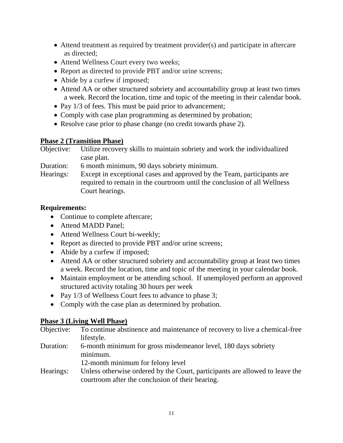- Attend treatment as required by treatment provider(s) and participate in aftercare as directed;
- Attend Wellness Court every two weeks;
- Report as directed to provide PBT and/or urine screens;
- Abide by a curfew if imposed;
- Attend AA or other structured sobriety and accountability group at least two times a week. Record the location, time and topic of the meeting in their calendar book.
- Pay 1/3 of fees. This must be paid prior to advancement;
- Comply with case plan programming as determined by probation;
- Resolve case prior to phase change (no credit towards phase 2).

## **Phase 2 (Transition Phase)**

Objective: Utilize recovery skills to maintain sobriety and work the individualized case plan.

Duration: 6 month minimum, 90 days sobriety minimum.

Hearings: Except in exceptional cases and approved by the Team, participants are required to remain in the courtroom until the conclusion of all Wellness Court hearings.

## **Requirements:**

- Continue to complete aftercare;
- Attend MADD Panel:
- Attend Wellness Court bi-weekly;
- Report as directed to provide PBT and/or urine screens;
- Abide by a curfew if imposed;
- Attend AA or other structured sobriety and accountability group at least two times a week. Record the location, time and topic of the meeting in your calendar book.
- Maintain employment or be attending school. If unemployed perform an approved structured activity totaling 30 hours per week
- Pay 1/3 of Wellness Court fees to advance to phase 3;
- Comply with the case plan as determined by probation.

## **Phase 3 (Living Well Phase)**

| Objective: | To continue abstinence and maintenance of recovery to live a chemical-free |
|------------|----------------------------------------------------------------------------|
|            | lifestyle.                                                                 |
| Duration:  | 6-month minimum for gross misdemeanor level, 180 days sobriety             |
|            | minimum.                                                                   |

12-month minimum for felony level

Hearings: Unless otherwise ordered by the Court, participants are allowed to leave the courtroom after the conclusion of their hearing.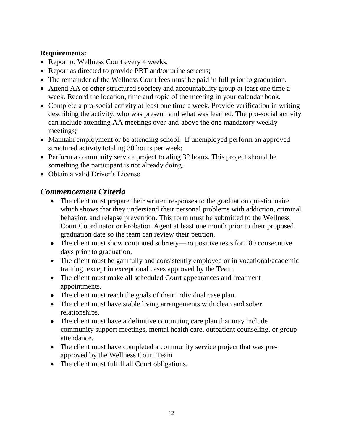## **Requirements:**

- Report to Wellness Court every 4 weeks;
- Report as directed to provide PBT and/or urine screens;
- The remainder of the Wellness Court fees must be paid in full prior to graduation.
- Attend AA or other structured sobriety and accountability group at least one time a week. Record the location, time and topic of the meeting in your calendar book.
- Complete a pro-social activity at least one time a week. Provide verification in writing describing the activity, who was present, and what was learned. The pro-social activity can include attending AA meetings over-and-above the one mandatory weekly meetings;
- Maintain employment or be attending school. If unemployed perform an approved structured activity totaling 30 hours per week;
- Perform a community service project totaling 32 hours. This project should be something the participant is not already doing.
- Obtain a valid Driver's License

## *Commencement Criteria*

- The client must prepare their written responses to the graduation questionnaire which shows that they understand their personal problems with addiction, criminal behavior, and relapse prevention. This form must be submitted to the Wellness Court Coordinator or Probation Agent at least one month prior to their proposed graduation date so the team can review their petition.
- The client must show continued sobriety—no positive tests for 180 consecutive days prior to graduation.
- The client must be gainfully and consistently employed or in vocational/academic training, except in exceptional cases approved by the Team.
- The client must make all scheduled Court appearances and treatment appointments.
- The client must reach the goals of their individual case plan.
- The client must have stable living arrangements with clean and sober relationships.
- The client must have a definitive continuing care plan that may include community support meetings, mental health care, outpatient counseling, or group attendance.
- The client must have completed a community service project that was preapproved by the Wellness Court Team
- The client must fulfill all Court obligations.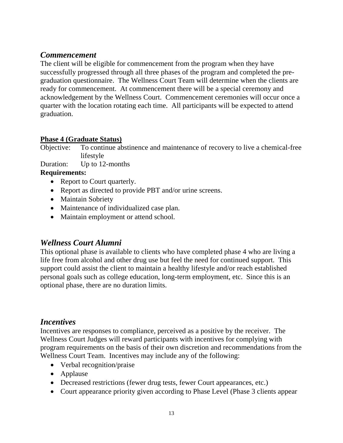# *Commencement*

The client will be eligible for commencement from the program when they have successfully progressed through all three phases of the program and completed the pregraduation questionnaire. The Wellness Court Team will determine when the clients are ready for commencement. At commencement there will be a special ceremony and acknowledgement by the Wellness Court. Commencement ceremonies will occur once a quarter with the location rotating each time. All participants will be expected to attend graduation.

## **Phase 4 (Graduate Status)**

Objective: To continue abstinence and maintenance of recovery to live a chemical-free lifestyle

Duration: Up to 12-months

## **Requirements:**

- Report to Court quarterly.
- Report as directed to provide PBT and/or urine screens.
- Maintain Sobriety
- Maintenance of individualized case plan.
- Maintain employment or attend school.

# *Wellness Court Alumni*

This optional phase is available to clients who have completed phase 4 who are living a life free from alcohol and other drug use but feel the need for continued support. This support could assist the client to maintain a healthy lifestyle and/or reach established personal goals such as college education, long-term employment, etc. Since this is an optional phase, there are no duration limits.

## *Incentives*

Incentives are responses to compliance, perceived as a positive by the receiver. The Wellness Court Judges will reward participants with incentives for complying with program requirements on the basis of their own discretion and recommendations from the Wellness Court Team. Incentives may include any of the following:

- Verbal recognition/praise
- Applause
- Decreased restrictions (fewer drug tests, fewer Court appearances, etc.)
- Court appearance priority given according to Phase Level (Phase 3 clients appear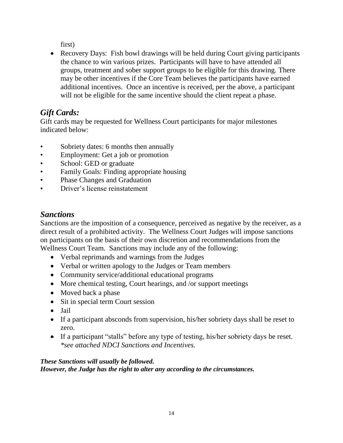first)

• Recovery Days: Fish bowl drawings will be held during Court giving participants the chance to win various prizes. Participants will have to have attended all groups, treatment and sober support groups to be eligible for this drawing. There may be other incentives if the Core Team believes the participants have earned additional incentives. Once an incentive is received, per the above, a participant will not be eligible for the same incentive should the client repeat a phase.

# *Gift Cards:*

Gift cards may be requested for Wellness Court participants for major milestones indicated below:

- Sobriety dates: 6 months then annually
- Employment: Get a job or promotion
- School: GED or graduate
- Family Goals: Finding appropriate housing
- Phase Changes and Graduation
- Driver's license reinstatement

# *Sanctions*

Sanctions are the imposition of a consequence, perceived as negative by the receiver, as a direct result of a prohibited activity. The Wellness Court Judges will impose sanctions on participants on the basis of their own discretion and recommendations from the Wellness Court Team. Sanctions may include any of the following:

- Verbal reprimands and warnings from the Judges
- Verbal or written apology to the Judges or Team members
- Community service/additional educational programs
- More chemical testing, Court hearings, and /or support meetings
- Moved back a phase
- Sit in special term Court session
- Jail
- If a participant absconds from supervision, his/her sobriety days shall be reset to zero.
- If a participant "stalls" before any type of testing, his/her sobriety days be reset. *\*see attached NDCI Sanctions and Incentives.*

## *These Sanctions will usually be followed.*

*However, the Judge has the right to alter any according to the circumstances.*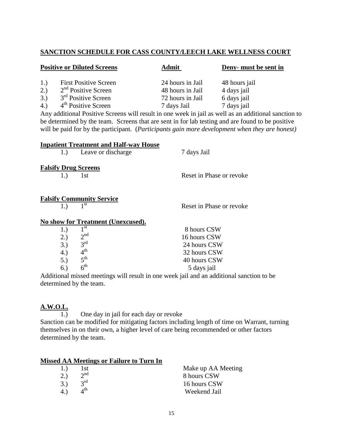#### **SANCTION SCHEDULE FOR CASS COUNTY/LEECH LAKE WELLNESS COURT**

| <b>Positive or Diluted Screens</b> |                                 | <b>Admit</b>     | Deny- must be sent in |  |
|------------------------------------|---------------------------------|------------------|-----------------------|--|
| 1.)                                | <b>First Positive Screen</b>    | 24 hours in Jail | 48 hours jail         |  |
| 2.)                                | $2nd$ Positive Screen           | 48 hours in Jail | 4 days jail           |  |
| 3.)                                | 3 <sup>rd</sup> Positive Screen | 72 hours in Jail | 6 days jail           |  |
| 4.)                                | 4 <sup>th</sup> Positive Screen | 7 days Jail      | 7 days jail           |  |

Any additional Positive Screens will result in one week in jail as well as an additional sanction to be determined by the team. Screens that are sent in for lab testing and are found to be positive will be paid for by the participant. (*Participants gain more development when they are honest)*

|                             | <b>Inpatient Treatment and Half-way House</b> |                          |
|-----------------------------|-----------------------------------------------|--------------------------|
| 1.)                         | Leave or discharge                            | 7 days Jail              |
| <b>Falsify Drug Screens</b> |                                               |                          |
| 1.)                         | 1st                                           | Reset in Phase or revoke |
|                             |                                               |                          |
|                             | <b>Falsify Community Service</b>              |                          |
| 1.)                         | 1 <sup>st</sup>                               | Reset in Phase or revoke |
|                             | No show for Treatment (Unexcused).            |                          |
| 1.)                         | $1^{\rm st}$                                  | 8 hours CSW              |
| 2.)                         | 2 <sup>nd</sup>                               | 16 hours CSW             |
| 3.)                         | $3^{\text{rd}}$                               | 24 hours CSW             |
| 4.)                         | 4 <sup>th</sup>                               | 32 hours CSW             |
| 5.)                         | 5 <sup>th</sup>                               | 40 hours CSW             |

Additional missed meetings will result in one week jail and an additional sanction to be determined by the team.

5 days jail

#### **A.W.O.L.**

 $6.$ )

 $6<sup>th</sup>$ 

 $\overline{1.}$  One day in jail for each day or revoke Sanction can be modified for mitigating factors including length of time on Warrant, turning themselves in on their own, a higher level of care being recommended or other factors determined by the team.

#### **Missed AA Meetings or Failure to Turn In**

|     |             | Make up AA Meeting |
|-----|-------------|--------------------|
|     | $\gamma$ nd | 8 hours CSW        |
| 3.) | $2^{rd}$    | 16 hours CSW       |
|     | 4 th        | Weekend Jail       |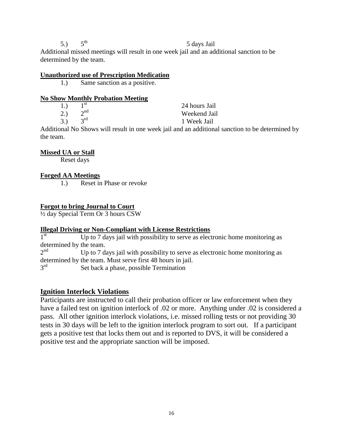$5.$ )  $5<sup>th</sup>$ 5 days Jail

Additional missed meetings will result in one week jail and an additional sanction to be determined by the team.

#### **Unauthorized use of Prescription Medication**

1.) Same sanction as a positive.

#### **No Show Monthly Probation Meeting**

| 1.) | 1 st            | 24 hours Jail |
|-----|-----------------|---------------|
| 2.) | $2^{nd}$        | Weekend Jail  |
| 3.) | $2^{\text{rd}}$ | 1 Week Jail   |

Additional No Shows will result in one week jail and an additional sanction to be determined by the team.

#### **Missed UA or Stall**

Reset days

#### **Forged AA Meetings**

1.) Reset in Phase or revoke

#### **Forgot to bring Journal to Court**

½ day Special Term Or 3 hours CSW

#### **Illegal Driving or Non-Compliant with License Restrictions**

 $1<sup>st</sup>$ Up to 7 days jail with possibility to serve as electronic home monitoring as determined by the team.

 $2^{nd}$ Up to 7 days jail with possibility to serve as electronic home monitoring as determined by the team. Must serve first 48 hours in jail.

 $3^{\text{rd}}$ Set back a phase, possible Termination

#### **Ignition Interlock Violations**

Participants are instructed to call their probation officer or law enforcement when they have a failed test on ignition interlock of .02 or more. Anything under .02 is considered a pass. All other ignition interlock violations, i.e. missed rolling tests or not providing 30 tests in 30 days will be left to the ignition interlock program to sort out. If a participant gets a positive test that locks them out and is reported to DVS, it will be considered a positive test and the appropriate sanction will be imposed.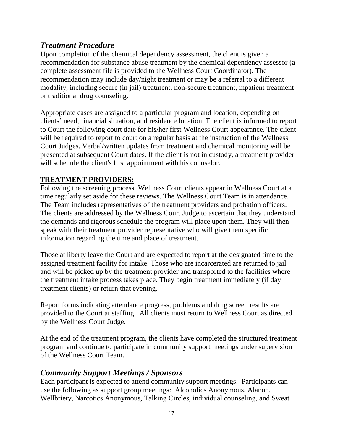# *Treatment Procedure*

Upon completion of the chemical dependency assessment, the client is given a recommendation for substance abuse treatment by the chemical dependency assessor (a complete assessment file is provided to the Wellness Court Coordinator). The recommendation may include day/night treatment or may be a referral to a different modality, including secure (in jail) treatment, non-secure treatment, inpatient treatment or traditional drug counseling.

Appropriate cases are assigned to a particular program and location, depending on clients' need, financial situation, and residence location. The client is informed to report to Court the following court date for his/her first Wellness Court appearance. The client will be required to report to court on a regular basis at the instruction of the Wellness Court Judges. Verbal/written updates from treatment and chemical monitoring will be presented at subsequent Court dates. If the client is not in custody, a treatment provider will schedule the client's first appointment with his counselor.

## **TREATMENT PROVIDERS:**

Following the screening process, Wellness Court clients appear in Wellness Court at a time regularly set aside for these reviews. The Wellness Court Team is in attendance. The Team includes representatives of the treatment providers and probation officers. The clients are addressed by the Wellness Court Judge to ascertain that they understand the demands and rigorous schedule the program will place upon them. They will then speak with their treatment provider representative who will give them specific information regarding the time and place of treatment.

Those at liberty leave the Court and are expected to report at the designated time to the assigned treatment facility for intake. Those who are incarcerated are returned to jail and will be picked up by the treatment provider and transported to the facilities where the treatment intake process takes place. They begin treatment immediately (if day treatment clients) or return that evening.

Report forms indicating attendance progress, problems and drug screen results are provided to the Court at staffing. All clients must return to Wellness Court as directed by the Wellness Court Judge.

At the end of the treatment program, the clients have completed the structured treatment program and continue to participate in community support meetings under supervision of the Wellness Court Team.

## *Community Support Meetings / Sponsors*

Each participant is expected to attend community support meetings. Participants can use the following as support group meetings: Alcoholics Anonymous, Alanon, Wellbriety, Narcotics Anonymous, Talking Circles, individual counseling, and Sweat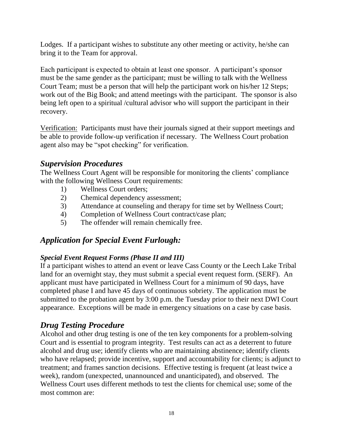Lodges. If a participant wishes to substitute any other meeting or activity, he/she can bring it to the Team for approval.

Each participant is expected to obtain at least one sponsor. A participant's sponsor must be the same gender as the participant; must be willing to talk with the Wellness Court Team; must be a person that will help the participant work on his/her 12 Steps; work out of the Big Book; and attend meetings with the participant. The sponsor is also being left open to a spiritual /cultural advisor who will support the participant in their recovery.

Verification: Participants must have their journals signed at their support meetings and be able to provide follow-up verification if necessary. The Wellness Court probation agent also may be "spot checking" for verification.

# *Supervision Procedures*

The Wellness Court Agent will be responsible for monitoring the clients' compliance with the following Wellness Court requirements:

- 1) Wellness Court orders;
- 2) Chemical dependency assessment;
- 3) Attendance at counseling and therapy for time set by Wellness Court;
- 4) Completion of Wellness Court contract/case plan;
- 5) The offender will remain chemically free.

# *Application for Special Event Furlough:*

## *Special Event Request Forms (Phase II and III)*

If a participant wishes to attend an event or leave Cass County or the Leech Lake Tribal land for an overnight stay, they must submit a special event request form. (SERF). An applicant must have participated in Wellness Court for a minimum of 90 days, have completed phase I and have 45 days of continuous sobriety. The application must be submitted to the probation agent by 3:00 p.m. the Tuesday prior to their next DWI Court appearance. Exceptions will be made in emergency situations on a case by case basis.

# *Drug Testing Procedure*

Alcohol and other drug testing is one of the ten key components for a problem-solving Court and is essential to program integrity. Test results can act as a deterrent to future alcohol and drug use; identify clients who are maintaining abstinence; identify clients who have relapsed; provide incentive, support and accountability for clients; is adjunct to treatment; and frames sanction decisions. Effective testing is frequent (at least twice a week), random (unexpected, unannounced and unanticipated), and observed. The Wellness Court uses different methods to test the clients for chemical use; some of the most common are: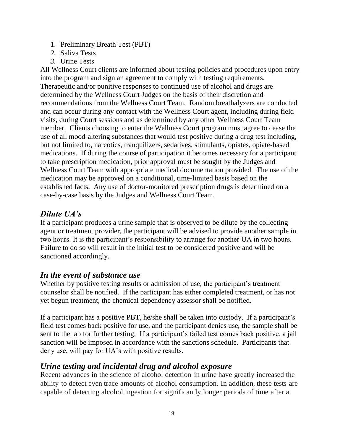- 1. Preliminary Breath Test (PBT)
- *2.* Saliva Tests
- *3.* Urine Tests

All Wellness Court clients are informed about testing policies and procedures upon entry into the program and sign an agreement to comply with testing requirements. Therapeutic and/or punitive responses to continued use of alcohol and drugs are determined by the Wellness Court Judges on the basis of their discretion and recommendations from the Wellness Court Team. Random breathalyzers are conducted and can occur during any contact with the Wellness Court agent, including during field visits, during Court sessions and as determined by any other Wellness Court Team member. Clients choosing to enter the Wellness Court program must agree to cease the use of all mood-altering substances that would test positive during a drug test including, but not limited to, narcotics, tranquilizers, sedatives, stimulants, opiates, opiate-based medications. If during the course of participation it becomes necessary for a participant to take prescription medication, prior approval must be sought by the Judges and Wellness Court Team with appropriate medical documentation provided. The use of the medication may be approved on a conditional, time-limited basis based on the established facts. Any use of doctor-monitored prescription drugs is determined on a case-by-case basis by the Judges and Wellness Court Team.

# *Dilute UA's*

If a participant produces a urine sample that is observed to be dilute by the collecting agent or treatment provider, the participant will be advised to provide another sample in two hours. It is the participant's responsibility to arrange for another UA in two hours. Failure to do so will result in the initial test to be considered positive and will be sanctioned accordingly.

# *In the event of substance use*

Whether by positive testing results or admission of use, the participant's treatment counselor shall be notified. If the participant has either completed treatment, or has not yet begun treatment, the chemical dependency assessor shall be notified.

If a participant has a positive PBT, he/she shall be taken into custody. If a participant's field test comes back positive for use, and the participant denies use, the sample shall be sent to the lab for further testing. If a participant's failed test comes back positive, a jail sanction will be imposed in accordance with the sanctions schedule. Participants that deny use, will pay for UA's with positive results.

# *Urine testing and incidental drug and alcohol exposure*

Recent advances in the science of alcohol detection in urine have greatly increased the ability to detect even trace amounts of alcohol consumption. In addition, these tests are capable of detecting alcohol ingestion for significantly longer periods of time after a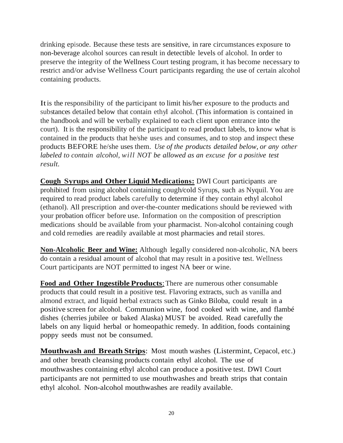drinking episode. Because these tests are sensitive, in rare circumstances exposure to non-beverage alcohol sources can result in detectible levels of alcohol. In order to preserve the integrity of the Wellness Court testing program, it has become necessary to restrict and/or advise Wellness Court participants regarding the use of certain alcohol containing products.

Itis the responsibility of the participant to limit his/her exposure to the products and substances detailed below that contain ethyl alcohol. (This information is contained in the handbook and will be verbally explained to each client upon entrance into the court). It is the responsibility of the participant to read product labels, to know what is contained in the products that he/she uses and consumes, and to stop and inspect these products BEFORE he/she uses them. *Use of the products detailed below, or any other labeled to contain alcohol, will NOT be allowed as an excuse for a positive test result.*

**Cough Syrups and Other Liquid Medications:** DWI Court participants are prohibited from using alcohol containing cough/cold Syrups, such as Nyquil. You are required to read product labels carefully to determine if they contain ethyl alcohol (ethanol). All prescription and over-the-counter medications should be reviewed with your probation officer before use. Information on the composition of prescription medications should be available from your pharmacist. Non-alcohol containing cough and cold remedies are readily available at most pharmacies and retail stores.

**Non-Alcoholic Beer and Wine:** Although legally considered non-alcoholic, NA beers do contain a residual amount of alcohol that may result in a positive test. Wellness Court participants are NOT permitted to ingest NA beer or wine.

**Food and Other Ingestible Products**:There are numerous other consumable products that could result in a positive test. Flavoring extracts, such as vanilla and almond extract, and liquid herbal extracts such as Ginko Biloba, could result in a positive screen for alcohol. Communion wine, food cooked with wine, and flambé dishes (cherries jubilee or baked Alaska) MUST be avoided. Read carefully the labels on any liquid herbal or homeopathic remedy. In addition, foods containing poppy seeds must not be consumed.

**Mouthwash and Breath Strips**: Most mouth washes (Listermint, Cepacol, etc.) and other breath cleansing products contain ethyl alcohol. The use of mouthwashes containing ethyl alcohol can produce a positive test. DWI Court participants are not permitted to use mouthwashes and breath strips that contain ethyl alcohol. Non-alcohol mouthwashes are readily available.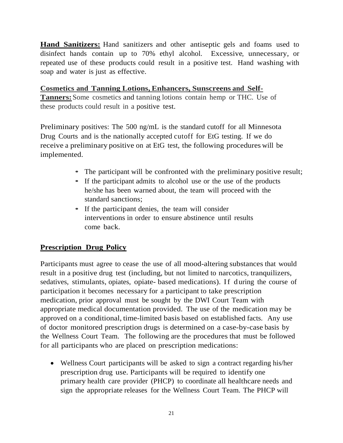**Hand Sanitizers:** Hand sanitizers and other antiseptic gels and foams used to disinfect hands contain up to 70% ethyl alcohol. Excessive, unnecessary, or repeated use of these products could result in a positive test. Hand washing with soap and water is just as effective.

**Cosmetics and Tanning Lotions, Enhancers, Sunscreens and Self-Tanners:**Some cosmetics and tanning lotions contain hemp or THC. Use of these products could result in a positive test.

Preliminary positives: The 500 ng/mL is the standard cutoff for all Minnesota Drug Courts and is the nationally accepted cutoff for EtG testing. If we do receive a preliminary positive on at EtG test, the following procedures will be implemented.

- The participant will be confronted with the preliminary positive result;
- If the participant admits to alcohol use or the use of the products he/she has been warned about, the team will proceed with the standard sanctions;
- If the participant denies, the team will consider interventions in order to ensure abstinence until results come back.

## **Prescription Drug Policy**

Participants must agree to cease the use of all mood-altering substances that would result in a positive drug test (including, but not limited to narcotics, tranquilizers, sedatives, stimulants, opiates, opiate- based medications). If during the course of participation it becomes necessary for a participant to take prescription medication, prior approval must be sought by the DWI Court Team with appropriate medical documentation provided. The use of the medication may be approved on a conditional, time-limited basis based on established facts. Any use of doctor monitored prescription drugs is determined on a case-by-case basis by the Wellness Court Team. The following are the procedures that must be followed for all participants who are placed on prescription medications:

 Wellness Court participants will be asked to sign a contract regarding his/her prescription drug use. Participants will be required to identify one primary health care provider (PHCP) to coordinate all healthcare needs and sign the appropriate releases for the Wellness Court Team. The PHCP will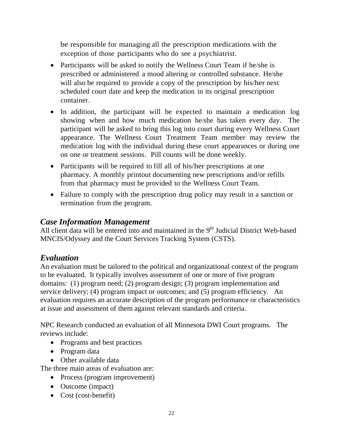be responsible for managing all the prescription medications with the exception of those participants who do see a psychiatrist.

- Participants will be asked to notify the Wellness Court Team if he/she is prescribed or administered a mood altering or controlled substance. He/she will also be required to provide a copy of the prescription by his/her next scheduled court date and keep the medication in its original prescription container.
- In addition, the participant will be expected to maintain a medication log showing when and how much medication he/she has taken every day. The participant will be asked to bring this log into court during every Wellness Court appearance. The Wellness Court Treatment Team member may review the medication log with the individual during these court appearances or during one on one or treatment sessions. Pill counts will be done weekly.
- Participants will be required to fill all of his/her prescriptions at one pharmacy. A monthly printout documenting new prescriptions and/or refills from that pharmacy must be provided to the Wellness Court Team.
- Failure to comply with the prescription drug policy may result in a sanction or termination from the program.

## *Case Information Management*

All client data will be entered into and maintained in the 9<sup>th</sup> Judicial District Web-based MNCIS/Odyssey and the Court Services Tracking System (CSTS).

# *Evaluation*

An evaluation must be tailored to the political and organizational context of the program to be evaluated. It typically involves assessment of one or more of five program domains: (1) program need; (2) program design; (3) program implementation and service delivery; (4) program impact or outcomes; and (5) program efficiency. An evaluation requires an accurate description of the program performance or characteristics at issue and assessment of them against relevant standards and criteria.

NPC Research conducted an evaluation of all Minnesota DWI Court programs. The reviews include:

- Programs and best practices
- Program data
- Other available data

The three main areas of evaluation are:

- Process (program improvement)
- Outcome (impact)
- Cost (cost-benefit)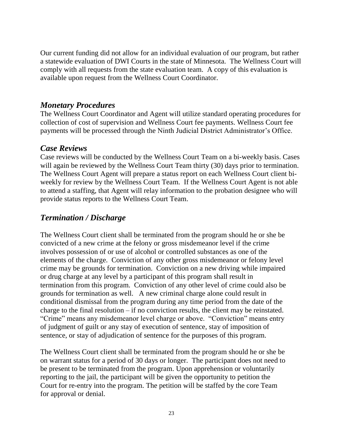Our current funding did not allow for an individual evaluation of our program, but rather a statewide evaluation of DWI Courts in the state of Minnesota. The Wellness Court will comply with all requests from the state evaluation team. A copy of this evaluation is available upon request from the Wellness Court Coordinator.

## *Monetary Procedures*

The Wellness Court Coordinator and Agent will utilize standard operating procedures for collection of cost of supervision and Wellness Court fee payments. Wellness Court fee payments will be processed through the Ninth Judicial District Administrator's Office.

## *Case Reviews*

Case reviews will be conducted by the Wellness Court Team on a bi-weekly basis. Cases will again be reviewed by the Wellness Court Team thirty (30) days prior to termination. The Wellness Court Agent will prepare a status report on each Wellness Court client biweekly for review by the Wellness Court Team. If the Wellness Court Agent is not able to attend a staffing, that Agent will relay information to the probation designee who will provide status reports to the Wellness Court Team.

# *Termination / Discharge*

The Wellness Court client shall be terminated from the program should he or she be convicted of a new crime at the felony or gross misdemeanor level if the crime involves possession of or use of alcohol or controlled substances as one of the elements of the charge. Conviction of any other gross misdemeanor or felony level crime may be grounds for termination. Conviction on a new driving while impaired or drug charge at any level by a participant of this program shall result in termination from this program. Conviction of any other level of crime could also be grounds for termination as well. A new criminal charge alone could result in conditional dismissal from the program during any time period from the date of the charge to the final resolution – if no conviction results, the client may be reinstated. "Crime" means any misdemeanor level charge or above. "Conviction" means entry of judgment of guilt or any stay of execution of sentence, stay of imposition of sentence, or stay of adjudication of sentence for the purposes of this program.

The Wellness Court client shall be terminated from the program should he or she be on warrant status for a period of 30 days or longer. The participant does not need to be present to be terminated from the program. Upon apprehension or voluntarily reporting to the jail, the participant will be given the opportunity to petition the Court for re-entry into the program. The petition will be staffed by the core Team for approval or denial.